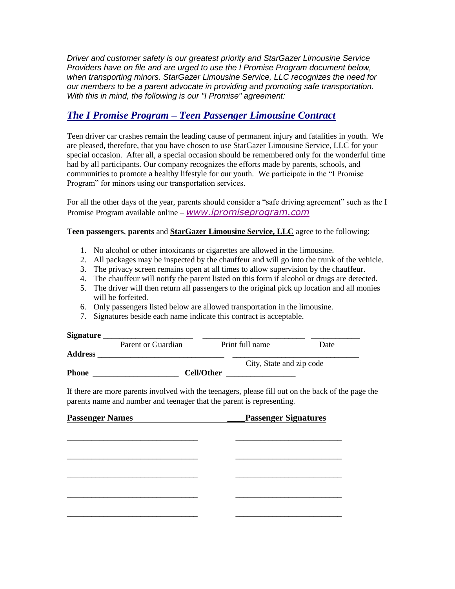*Driver and customer safety is our greatest priority and StarGazer Limousine Service Providers have on file and are urged to use the I Promise Program document below, when transporting minors. StarGazer Limousine Service, LLC recognizes the need for our members to be a parent advocate in providing and promoting safe transportation. With this in mind, the following is our "I Promise" agreement:*

## *The I Promise Program – Teen Passenger Limousine Contract*

Teen driver car crashes remain the leading cause of permanent injury and fatalities in youth. We are pleased, therefore, that you have chosen to use StarGazer Limousine Service, LLC for your special occasion. After all, a special occasion should be remembered only for the wonderful time had by all participants. Our company recognizes the efforts made by parents, schools, and communities to promote a healthy lifestyle for our youth. We participate in the "I Promise Program" for minors using our transportation services.

For all the other days of the year, parents should consider a "safe driving agreement" such as the I Promise Program available online – *[www.ipromiseprogram.com](http://www.ipromiseprogram.com/)*

## **Teen passengers**, **parents** and **StarGazer Limousine Service, LLC** agree to the following:

- 1. No alcohol or other intoxicants or cigarettes are allowed in the limousine.
- 2. All packages may be inspected by the chauffeur and will go into the trunk of the vehicle.
- 3. The privacy screen remains open at all times to allow supervision by the chauffeur.
- 4. The chauffeur will notify the parent listed on this form if alcohol or drugs are detected.
- 5. The driver will then return all passengers to the original pick up location and all monies will be forfeited.
- 6. Only passengers listed below are allowed transportation in the limousine.
- 7. Signatures beside each name indicate this contract is acceptable.

| <b>Signature</b> |                    |            |                          |      |
|------------------|--------------------|------------|--------------------------|------|
|                  | Parent or Guardian |            | Print full name          | Date |
| <b>Address</b>   |                    |            |                          |      |
|                  |                    |            | City, State and zip code |      |
| <b>Phone</b>     |                    | Cell/Other |                          |      |

If there are more parents involved with the teenagers, please fill out on the back of the page the parents name and number and teenager that the parent is representing.

| <b>Passenger Names</b> | <b>Passenger Signatures</b> |  |
|------------------------|-----------------------------|--|
|                        |                             |  |
|                        |                             |  |
|                        |                             |  |
|                        |                             |  |
|                        |                             |  |